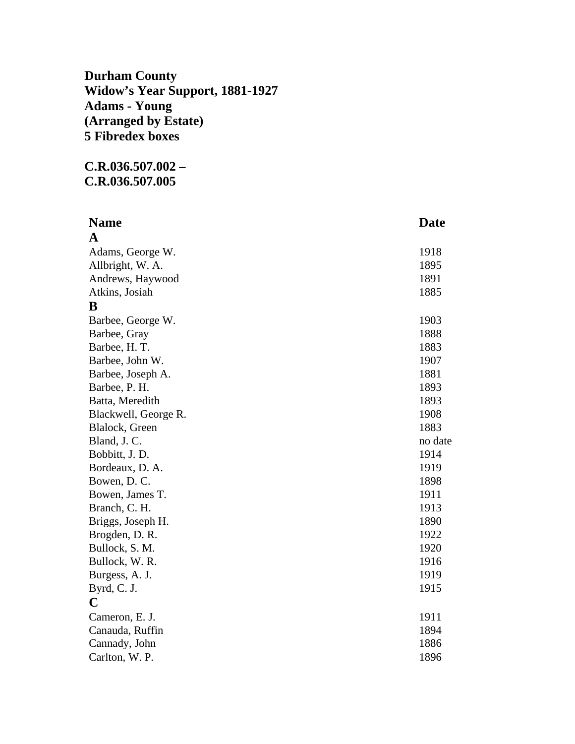**Durham County Widow's Year Support, 1881-1927 Adams - Young (Arranged by Estate) 5 Fibredex boxes** 

## **C.R.036.507.002 – C.R.036.507.005**

| <b>Name</b>          | <b>Date</b> |
|----------------------|-------------|
| A                    |             |
| Adams, George W.     | 1918        |
| Allbright, W. A.     | 1895        |
| Andrews, Haywood     | 1891        |
| Atkins, Josiah       | 1885        |
| B                    |             |
| Barbee, George W.    | 1903        |
| Barbee, Gray         | 1888        |
| Barbee, H. T.        | 1883        |
| Barbee, John W.      | 1907        |
| Barbee, Joseph A.    | 1881        |
| Barbee, P. H.        | 1893        |
| Batta, Meredith      | 1893        |
| Blackwell, George R. | 1908        |
| Blalock, Green       | 1883        |
| Bland, J. C.         | no date     |
| Bobbitt, J.D.        | 1914        |
| Bordeaux, D. A.      | 1919        |
| Bowen, D.C.          | 1898        |
| Bowen, James T.      | 1911        |
| Branch, C. H.        | 1913        |
| Briggs, Joseph H.    | 1890        |
| Brogden, D. R.       | 1922        |
| Bullock, S. M.       | 1920        |
| Bullock, W. R.       | 1916        |
| Burgess, A. J.       | 1919        |
| Byrd, C. J.          | 1915        |
| $\mathbf C$          |             |
| Cameron, E. J.       | 1911        |
| Canauda, Ruffin      | 1894        |
| Cannady, John        | 1886        |
| Carlton, W. P.       | 1896        |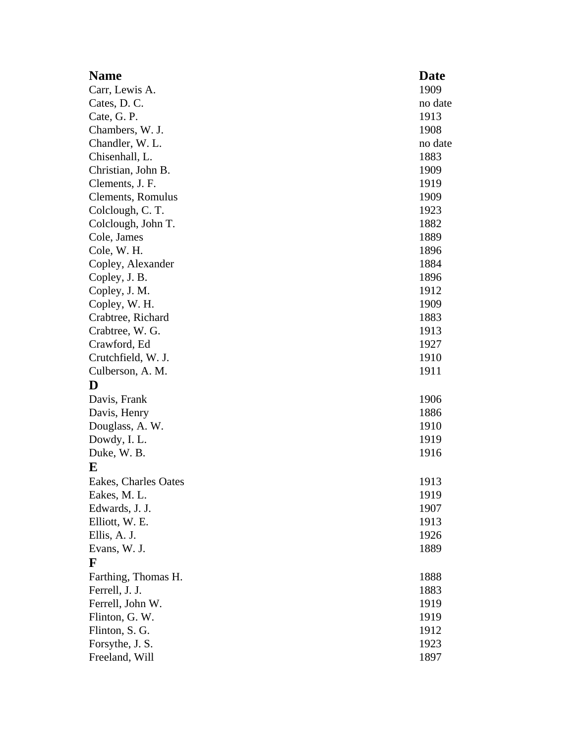| <b>Name</b>          | <b>Date</b> |
|----------------------|-------------|
| Carr, Lewis A.       | 1909        |
| Cates, D. C.         | no date     |
| Cate, G. P.          | 1913        |
| Chambers, W. J.      | 1908        |
| Chandler, W. L.      | no date     |
| Chisenhall, L.       | 1883        |
| Christian, John B.   | 1909        |
| Clements, J. F.      | 1919        |
| Clements, Romulus    | 1909        |
| Colclough, C. T.     | 1923        |
| Colclough, John T.   | 1882        |
| Cole, James          | 1889        |
| Cole, W. H.          | 1896        |
| Copley, Alexander    | 1884        |
| Copley, J. B.        | 1896        |
| Copley, J. M.        | 1912        |
| Copley, W. H.        | 1909        |
| Crabtree, Richard    | 1883        |
| Crabtree, W. G.      | 1913        |
| Crawford, Ed         | 1927        |
| Crutchfield, W. J.   | 1910        |
| Culberson, A. M.     | 1911        |
| D                    |             |
| Davis, Frank         | 1906        |
| Davis, Henry         | 1886        |
| Douglass, A. W.      | 1910        |
| Dowdy, I.L.          | 1919        |
| Duke, W. B.          | 1916        |
| E                    |             |
| Eakes, Charles Oates | 1913        |
| Eakes, M. L.         | 1919        |
| Edwards, J. J.       | 1907        |
| Elliott, W. E.       | 1913        |
| Ellis, A. J.         | 1926        |
| Evans, W. J.         | 1889        |
| F                    |             |
| Farthing, Thomas H.  | 1888        |
| Ferrell, J. J.       | 1883        |
| Ferrell, John W.     | 1919        |
| Flinton, G. W.       | 1919        |
| Flinton, S. G.       | 1912        |
| Forsythe, J. S.      | 1923        |
| Freeland, Will       | 1897        |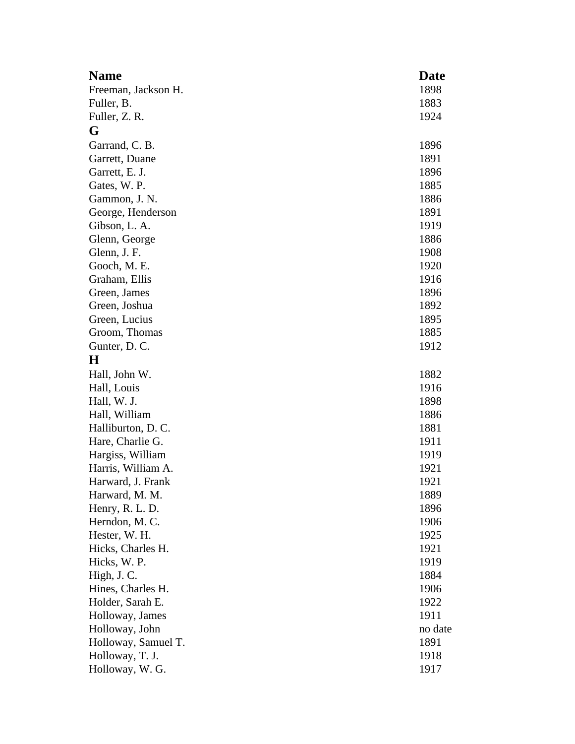| <b>Name</b>         | <b>Date</b> |
|---------------------|-------------|
| Freeman, Jackson H. | 1898        |
| Fuller, B.          | 1883        |
| Fuller, Z. R.       | 1924        |
| G                   |             |
| Garrand, C. B.      | 1896        |
| Garrett, Duane      | 1891        |
| Garrett, E. J.      | 1896        |
| Gates, W. P.        | 1885        |
| Gammon, J. N.       | 1886        |
| George, Henderson   | 1891        |
| Gibson, L. A.       | 1919        |
| Glenn, George       | 1886        |
| Glenn, J. F.        | 1908        |
| Gooch, M. E.        | 1920        |
| Graham, Ellis       | 1916        |
| Green, James        | 1896        |
| Green, Joshua       | 1892        |
| Green, Lucius       | 1895        |
| Groom, Thomas       | 1885        |
| Gunter, D. C.       | 1912        |
| $\bf H$             |             |
| Hall, John W.       | 1882        |
| Hall, Louis         | 1916        |
| Hall, W. J.         | 1898        |
| Hall, William       | 1886        |
| Halliburton, D. C.  | 1881        |
| Hare, Charlie G.    | 1911        |
| Hargiss, William    | 1919        |
| Harris, William A.  | 1921        |
| Harward, J. Frank   | 1921        |
| Harward, M. M.      | 1889        |
| Henry, R. L. D.     | 1896        |
| Herndon, M.C.       | 1906        |
| Hester, W. H.       | 1925        |
| Hicks, Charles H.   | 1921        |
| Hicks, W. P.        | 1919        |
| High, J. C.         | 1884        |
| Hines, Charles H.   | 1906        |
| Holder, Sarah E.    | 1922        |
| Holloway, James     | 1911        |
| Holloway, John      | no date     |
| Holloway, Samuel T. | 1891        |
| Holloway, T. J.     | 1918        |
| Holloway, W. G.     | 1917        |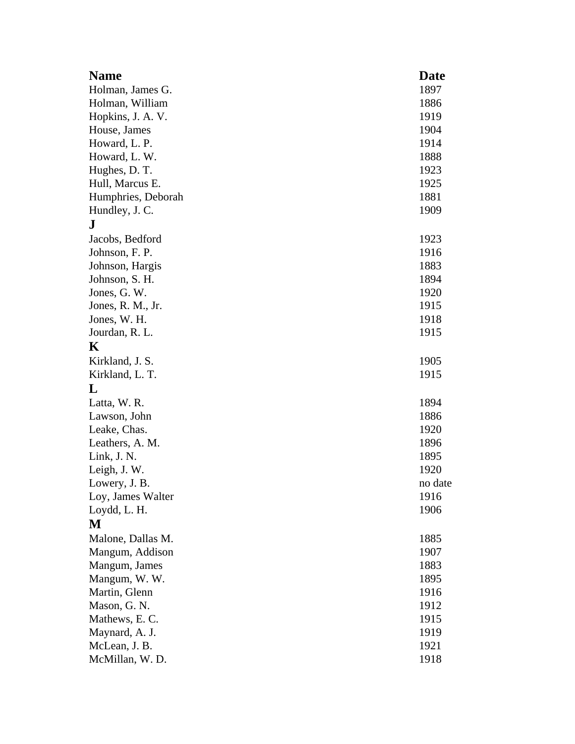| <b>Name</b>        | <b>Date</b> |
|--------------------|-------------|
| Holman, James G.   | 1897        |
| Holman, William    | 1886        |
| Hopkins, J. A. V.  | 1919        |
| House, James       | 1904        |
| Howard, L. P.      | 1914        |
| Howard, L. W.      | 1888        |
| Hughes, D. T.      | 1923        |
| Hull, Marcus E.    | 1925        |
| Humphries, Deborah | 1881        |
| Hundley, J. C.     | 1909        |
| ${\bf J}$          |             |
| Jacobs, Bedford    | 1923        |
| Johnson, F. P.     | 1916        |
| Johnson, Hargis    | 1883        |
| Johnson, S. H.     | 1894        |
| Jones, G. W.       | 1920        |
| Jones, R. M., Jr.  | 1915        |
| Jones, W. H.       | 1918        |
| Jourdan, R. L.     | 1915        |
| K                  |             |
| Kirkland, J. S.    | 1905        |
| Kirkland, L. T.    | 1915        |
| L                  |             |
| Latta, W. R.       | 1894        |
| Lawson, John       | 1886        |
| Leake, Chas.       | 1920        |
| Leathers, A. M.    | 1896        |
| Link, J. N.        | 1895        |
| Leigh, J.W.        | 1920        |
| Lowery, J. B.      | no date     |
| Loy, James Walter  | 1916        |
| Loydd, L. H.       | 1906        |
| M                  |             |
| Malone, Dallas M.  | 1885        |
| Mangum, Addison    | 1907        |
| Mangum, James      | 1883        |
| Mangum, W.W.       | 1895        |
| Martin, Glenn      | 1916        |
| Mason, G. N.       | 1912        |
| Mathews, E.C.      | 1915        |
| Maynard, A. J.     | 1919        |
| McLean, J. B.      | 1921        |
| McMillan, W.D.     | 1918        |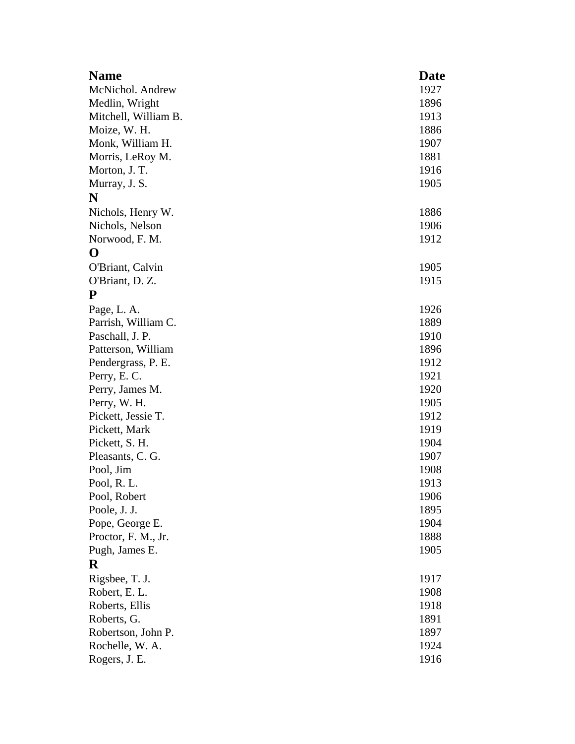| <b>Name</b>          | <b>Date</b> |
|----------------------|-------------|
| McNichol. Andrew     | 1927        |
| Medlin, Wright       | 1896        |
| Mitchell, William B. | 1913        |
| Moize, W. H.         | 1886        |
| Monk, William H.     | 1907        |
| Morris, LeRoy M.     | 1881        |
| Morton, J. T.        | 1916        |
| Murray, J. S.        | 1905        |
| N                    |             |
| Nichols, Henry W.    | 1886        |
| Nichols, Nelson      | 1906        |
| Norwood, F. M.       | 1912        |
| O                    |             |
| O'Briant, Calvin     | 1905        |
| O'Briant, D. Z.      | 1915        |
| P                    |             |
| Page, L. A.          | 1926        |
| Parrish, William C.  | 1889        |
| Paschall, J. P.      | 1910        |
| Patterson, William   | 1896        |
| Pendergrass, P. E.   | 1912        |
| Perry, E.C.          | 1921        |
| Perry, James M.      | 1920        |
| Perry, W. H.         | 1905        |
| Pickett, Jessie T.   | 1912        |
| Pickett, Mark        | 1919        |
| Pickett, S. H.       | 1904        |
| Pleasants, C. G.     | 1907        |
| Pool, Jim            | 1908        |
| Pool, R.L.           | 1913        |
| Pool, Robert         | 1906        |
| Poole, J. J.         | 1895        |
| Pope, George E.      | 1904        |
| Proctor, F. M., Jr.  | 1888        |
| Pugh, James E.       | 1905        |
| $\bf R$              |             |
| Rigsbee, T. J.       | 1917        |
| Robert, E. L.        | 1908        |
| Roberts, Ellis       | 1918        |
| Roberts, G.          | 1891        |
| Robertson, John P.   | 1897        |
| Rochelle, W. A.      | 1924        |
| Rogers, J. E.        | 1916        |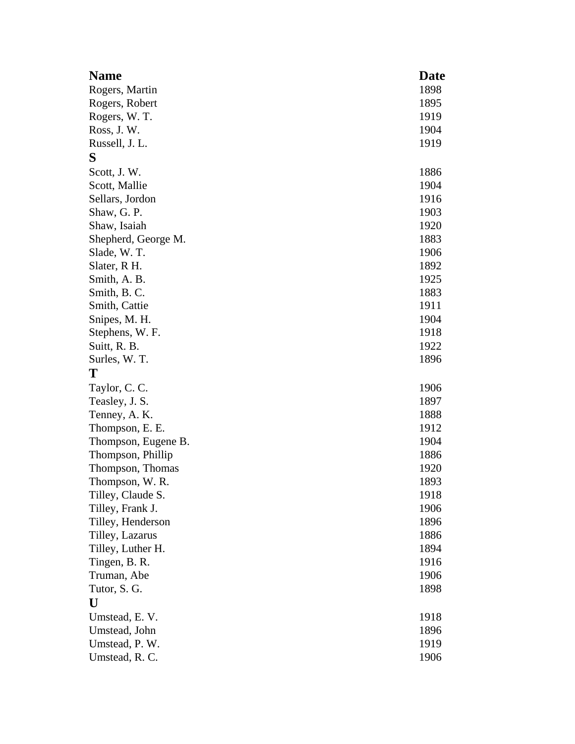| <b>Name</b>         | <b>Date</b> |
|---------------------|-------------|
| Rogers, Martin      | 1898        |
| Rogers, Robert      | 1895        |
| Rogers, W. T.       | 1919        |
| Ross, J. W.         | 1904        |
| Russell, J. L.      | 1919        |
| S                   |             |
| Scott, J.W.         | 1886        |
| Scott, Mallie       | 1904        |
| Sellars, Jordon     | 1916        |
| Shaw, G. P.         | 1903        |
| Shaw, Isaiah        | 1920        |
| Shepherd, George M. | 1883        |
| Slade, W.T.         | 1906        |
| Slater, R H.        | 1892        |
| Smith, A. B.        | 1925        |
| Smith, B.C.         | 1883        |
| Smith, Cattie       | 1911        |
| Snipes, M. H.       | 1904        |
| Stephens, W. F.     | 1918        |
| Suitt, R. B.        | 1922        |
| Surles, W. T.       | 1896        |
| Т                   |             |
| Taylor, C. C.       | 1906        |
| Teasley, J. S.      | 1897        |
| Tenney, A. K.       | 1888        |
| Thompson, E. E.     | 1912        |
| Thompson, Eugene B. | 1904        |
| Thompson, Phillip   | 1886        |
| Thompson, Thomas    | 1920        |
| Thompson, W. R.     | 1893        |
| Tilley, Claude S.   | 1918        |
| Tilley, Frank J.    | 1906        |
| Tilley, Henderson   | 1896        |
| Tilley, Lazarus     | 1886        |
| Tilley, Luther H.   | 1894        |
| Tingen, B. R.       | 1916        |
| Truman, Abe         | 1906        |
| Tutor, S. G.        | 1898        |
| U                   |             |
| Umstead, E.V.       | 1918        |
| Umstead, John       | 1896        |
| Umstead, P. W.      | 1919        |
| Umstead, R. C.      | 1906        |